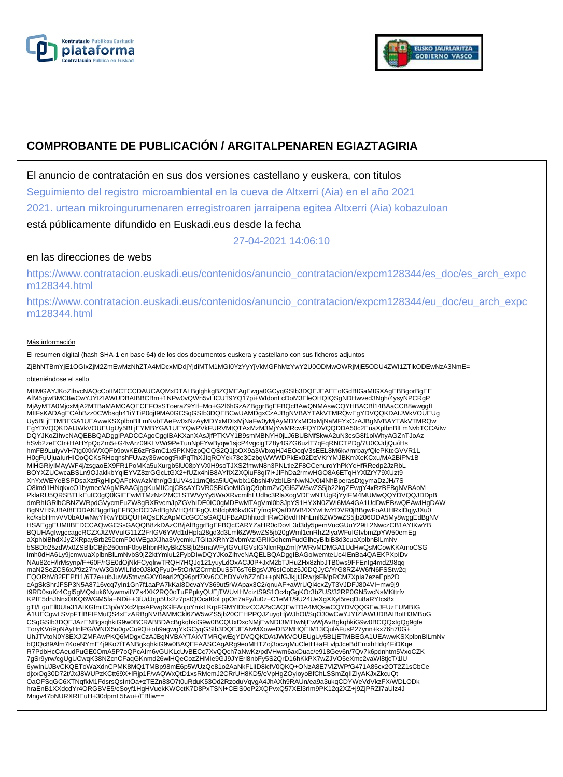



# **COMPROBANTE DE PUBLICACIÓN / ARGITALPENAREN EGIAZTAGIRIA**

El anuncio de contratación en sus dos versiones castellano y euskera, con títulos

Seguimiento del registro microambiental en la cueva de Altxerri (Aia) en el año 2021

2021. urtean mikroingurumenaren erregistroaren jarraipena egitea Altxerri (Aia) kobazuloan

está públicamente difundido en Euskadi.eus desde la fecha

27-04-2021 14:06:10

## en las direcciones de webs

https://www.contratacion.euskadi.eus/contenidos/anuncio\_contratacion/expcm128344/es\_doc/es\_arch\_expc m128344.html

https://www.contratacion.euskadi.eus/contenidos/anuncio\_contratacion/expcm128344/eu\_doc/eu\_arch\_expc m128344.html

#### Más información

El resumen digital (hash SHA-1 en base 64) de los dos documentos euskera y castellano con sus ficheros adjuntos

ZjBhNTBmYjE1OGIxZjM2ZmEwMzNhZTA4MDcxMDdjYjdiMTM1MGI0YzYyYjVkMGFhMzYwY2U0ODMwOWRjMjE5ODU4ZWI1ZTlkODEwNzA3NmE=

#### obteniéndose el sello

MIIMGAYJKoZIhvcNAQcCoIIMCTCCDAUCAQMxDTALBglghkgBZQMEAgEwga0GCyqGSIb3DQEJEAEEoIGdBIGaMIGXAgEBBgorBgEE AfM5giwBMC8wCwYJYIZIAWUDBAIBBCBm+1NPw0vQWh5vLICUT9YQ17pi+WfdonLcDoM3EleOHQIQSgNDHwved3Ngh/4ysyNPCRgP MjAyMTA0MjcxMjA2MTBaMAMCAQECEFOsSToeraZ9YIf+Mo+G2l6hGzAZBggrBgEFBQcBAwQNMAswCQYHBACBl14BAaCCB8wwggfI MIIFsKADAgECAhBzz0CWbsqh41iYTiP0qjt9MA0GCSqGSIb3DQEBCwUAMDgxCzAJBgNVBAYTAkVTMRQwEgYDVQQKDAtJWkVOUEUg Uy5BLjETMBEGA1UEAwwKSXplbnBlLmNvbTAeFw0xNzAyMDYxMDIxMjNaFw0yMjAyMDYxMDIxMjNaMFYxCzAJBgNVBAYTAkVTMRQw<br>EgYDVQQKDAtJWkVOUEUgUy5BLjEYMBYGA1UEYQwPVkFURVMtQTAxMzM3MjYwMRcwFQYDVQQDDA50c2EuaXplbnBlLmNvbTCCAiIw DQYJKoZIhvcNAQEBBQADggIPADCCAgoCggIBAKXanXAsJjfPTKVY1B9smMBNYH0jLJ6BUBMfSkwA2uN3csG8f1olWhyAGZnTJoAz<br>hSvb2zeECIr+HAHYpQqZm5+G4vArz09KLVWr9PeTunNpFYwByqw1sjcP4vgcigTZ8y4GZG6uzlT7qFqRNCTPDg/7U0OJdjQu/iHs hmFB9LuiyvVH7tg0XkWXQFb9owKE6zFrSmC1x5PKN9zpQCQS2Q1jpOX9a3WbxqHJ4EOoqV3sEEL8M6kv/mrbayfQlePKtcGVVR1L H0gFuUjuaIurHIOoQCKsRHoqnshFUwzy36woogtRxPqThXJIqROYek73e3CzbqWWWDPkEx02DzVKrYMJBKmXeKCxu/MA2BiFfv1B MlHGRiyIMAyWF4j/zsgaoEX9FR1PoMKa5uXurgb5lU08pYVXlH9soTJXSZfmwN8n3PNLtleZF8CCenuroYhPkYcHfRRedp2JzRbL BOYXZUCwcaBSLn9OJaklkbYqiEYVZ8zrGGcLtGX2+fUZx4hiB8AYfIXZXQiuF8gI7i+JlFhDa2rmwHGO8A6ETqHYXlZrY79XUzt9 XnYxWEYeBSPDsaXztRgHlpQAFcKwAzMthr/gG1UV4s11mQlsa5lUQwblx16bshi4VzblLBnNwNJv0t4NhBperasDtgymaDzJH/7S<br>O8im91HNqkxcO1bymeeVAgMBAAGjggKuMIICqjCBsAYDVR0SBIGoMIGlgQ9pbmZvQGl6ZW5wZS5jb22kgZEwgY4xRzBFBgNVBAoM PklaRU5QRSBTLkEuIC0gQ0lGIEEwMTMzNzI2MC1STWVyYy5WaXRvcmlhLUdhc3RlaXogVDEwNTUgRjYyIFM4MUMwQQYDVQQJDDpB dmRhIGRlbCBNZWRpdGVycmFuZW8gRXRvcmJpZGVhIDE0IC0gMDEwMTAgVml0b3JpYS1HYXN0ZWl6MA4GA1UdDwEB/wQEAwIHgDAW BgNVHSUBAf8EDDAKBggrBgEFBQcDCDAdBgNVHQ4EFgQU58dpM6kv0GEyfncjPQafDIWB4XYwHwYDVR0jBBgwFoAUHRxlDqjyJXu0<br>kc/ksbHmvVV0bAUwNwYIKwYBBQUHAQsEKzApMCcGCCsGAQUFBzADhhtodHRwOi8vdHNhLml6ZW5wZS5jb206ODA5My8wggEdBgNV HSAEggEUMIIBEDCCAQwGCSsGAQQB8zkDAzCB/jAlBggrBgEFBQcCARYZaHR0cDovL3d3dy5pemVucGUuY29tL2NwczCB1AYIKwYB BQUHAgIwgccagcRCZXJtZWVuIG11Z2FrIGV6YWd1dHpla28gd3d3Lml6ZW5wZS5jb20gWml1cnRhZ2lyaWFuIGtvbmZpYW50emEg aXphbiBhdXJyZXRpayBrb250cmF0dWEgaXJha3VycmkuTGltaXRhY2lvbmVzIGRIIGdhcmFudGlhcyBlbiB3d3cuaXplbnBlLmNv<br>bSBDb25zdWx0ZSBlbCBjb250cmF0byBhbnRlcyBkZSBjb25maWFyIGVuIGVsIGNlcnRpZmljYWRvMDMGA1UdHwQsMCowKKAmoCSG Imh0dHA6Ly9jcmwuaXplbnBlLmNvbS9jZ2ktYmluL2FybDIwDQYJKoZIhvcNAQELBQADggIBAGolwemteUc4IEnBa4QAEKPXpIDv NAu82cH/lrMsynp/F+60F/rGE0dOjNkFCyqlrwTRQH7HQJq121yuyLdOxACJ0P+JxM2bTJHuZHx8zhbJTB0ws9FFEnIg4mdZ98qq maN2SeZCS6xJf9z27hvW3GbWlLfide0J8kQFyu0+5tOrMZCrmbDuS5T6sT6BgsVJf6sICobz5J0DQJyC/YrG8RZ4W6fN6FSStw2q EQORhV82FEPf11/6T7e+ubJuvW5tnvpGXY0eari2fQ96prf7Xv6CChDYvVhZZnD++pNfGJkjjtJRwrjsFMpRCM7XpIa7ezeEpb2D cAgSkShrJFSP3N5A8716vcq7yIn1Gn7f1aaPA7kKaI8DcvaYV369ut5rWApax3C2/qnuAF+aWrUQl4cxZyT3VJDFJ804VI+mw9j9 t9RD0suKr4Cgl5gMQsluk6NywmviIYZs4XK2RQ0oTuFPpkyQUEjTWUvIHVciztS9S1Oc4qGgKOr3bZUS/32RP0GN5wcNsMKttrfv KPfE5dnJNnx0IKQ6WGM5fa+NDi++3fUdJrjp5Ux2z7pstQOcaf0oLppOn7aFy/fu0z+C1eMT/9U24UeXgXXyl5reqDu8aRYIcs8x<br>gTt/LguEll0Ula31AIKGfmiC3p/aYXd2lpsAPwg6GlFAojoYmkLKrpFGMYIDbzCCA2sCAQEwTDA4MQswCQYDVQQGEwJFUzEUMBIG A1UECgwLSVpFTlBFIFMuQS4xEzARBgNVBAMMCkl6ZW5wZS5jb20CEHPPQJZuyqHjWJhOI/SqO30wCwYJYIZIAWUDBAIBoIH3MBoG CSqGSIb3DQEJAzENBgsqhkiG9w0BCRABBDAcBgkqhkiG9w0BCQUxDxcNMjEwNDI3MTIwNjEwWjAvBgkqhkiG9w0BCQQxIgQg9gfe ToryKVri9pNAyHnlPG/WNIX5u0gvCu9Qi+ob9agwgYkGCyqGSIb3DQEJEAIvMXoweDB2MHQEIM13CjulAFusP27ynn+kx76h70G+ UhJTVtoN0Y8EXJIZMFAwPKQ6MDgxCzAJBgNVBAYTAkVTMRQwEgYDVQQKDAtJWkVOUEUgUy5BLjETMBEGA1UEAwwKSXplbnBlLmNv bQIQc89Alm7KoeNYmE4j9Ko7fTANBgkqhkiG9w0BAQEFAASCAgARg9eoMHTZoj3oczgMuCletH+aFLvlpJceBdEmxhHdq4FiDKqe<br>R7PdbHcCAeudPuGE0OmA5P7oQPcAlm6vGUKLcUvBECc7XvQQch7aNwKz/pdVHwm6axDuac/e918Gev6n/7Qv7k6pdnhtm5VxoCZK<br>7gSr9yrw/cgUgUCwqK38 djxxOg30D72t/JxJ8WUPzKCtt69X+lRjp1F/vAQWxQtD1xsRMemJ2CRrUH8KD5/eVpHgZOyioyoBfChLSSmZqIlZIyAKJxZkcuQt OaOFSqGC6XTNqfkM1FdsrsQsIntOa+zTEZn83O7t0uRduK53Od2RzoduVqvgA4JhAXh9RAUn/ea9a3ukqCDYWeVdVkzFX/WDLODk hraEnB1XXdcdYr4ORGBVE5/cSoyf1HgHVuekKWCctK7D8PxTSNl+CElS0oP2XQPvxQ57XEl3rIm9PK12q2XZ+j9ZjPRZI7aUlz4J Mngv47bNURXRIEuH+30dpmL5twu+/EBfiw==